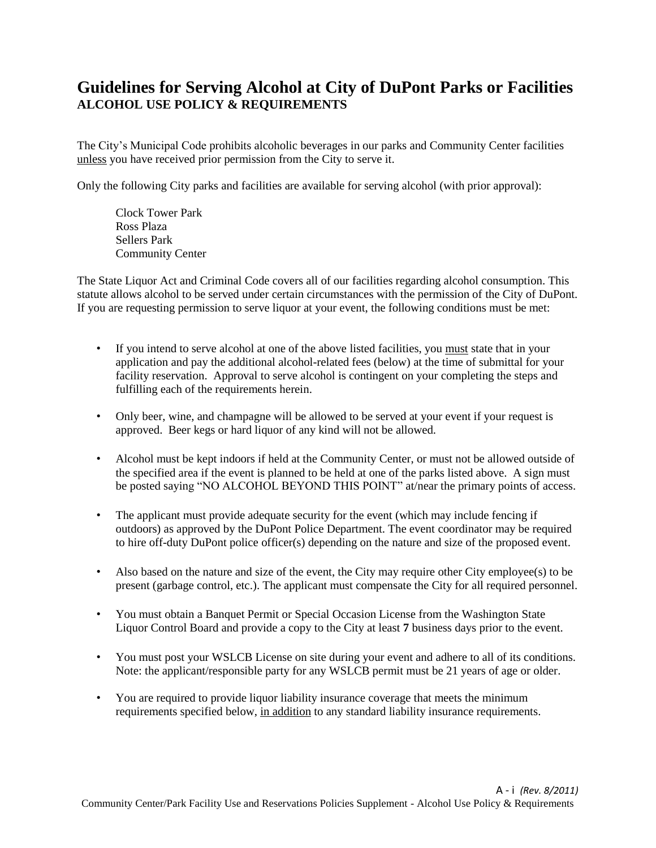## **Guidelines for Serving Alcohol at City of DuPont Parks or Facilities ALCOHOL USE POLICY & REQUIREMENTS**

The City's Municipal Code prohibits alcoholic beverages in our parks and Community Center facilities unless you have received prior permission from the City to serve it.

Only the following City parks and facilities are available for serving alcohol (with prior approval):

Clock Tower Park Ross Plaza Sellers Park Community Center

The State Liquor Act and Criminal Code covers all of our facilities regarding alcohol consumption. This statute allows alcohol to be served under certain circumstances with the permission of the City of DuPont. If you are requesting permission to serve liquor at your event, the following conditions must be met:

- If you intend to serve alcohol at one of the above listed facilities, you must state that in your application and pay the additional alcohol-related fees (below) at the time of submittal for your facility reservation. Approval to serve alcohol is contingent on your completing the steps and fulfilling each of the requirements herein.
- Only beer, wine, and champagne will be allowed to be served at your event if your request is approved. Beer kegs or hard liquor of any kind will not be allowed.
- Alcohol must be kept indoors if held at the Community Center, or must not be allowed outside of the specified area if the event is planned to be held at one of the parks listed above. A sign must be posted saying "NO ALCOHOL BEYOND THIS POINT" at/near the primary points of access.
- The applicant must provide adequate security for the event (which may include fencing if outdoors) as approved by the DuPont Police Department. The event coordinator may be required to hire off-duty DuPont police officer(s) depending on the nature and size of the proposed event.
- Also based on the nature and size of the event, the City may require other City employee(s) to be present (garbage control, etc.). The applicant must compensate the City for all required personnel.
- You must obtain a Banquet Permit or Special Occasion License from the Washington State Liquor Control Board and provide a copy to the City at least **7** business days prior to the event.
- You must post your WSLCB License on site during your event and adhere to all of its conditions. Note: the applicant/responsible party for any WSLCB permit must be 21 years of age or older.
- You are required to provide liquor liability insurance coverage that meets the minimum requirements specified below, in addition to any standard liability insurance requirements.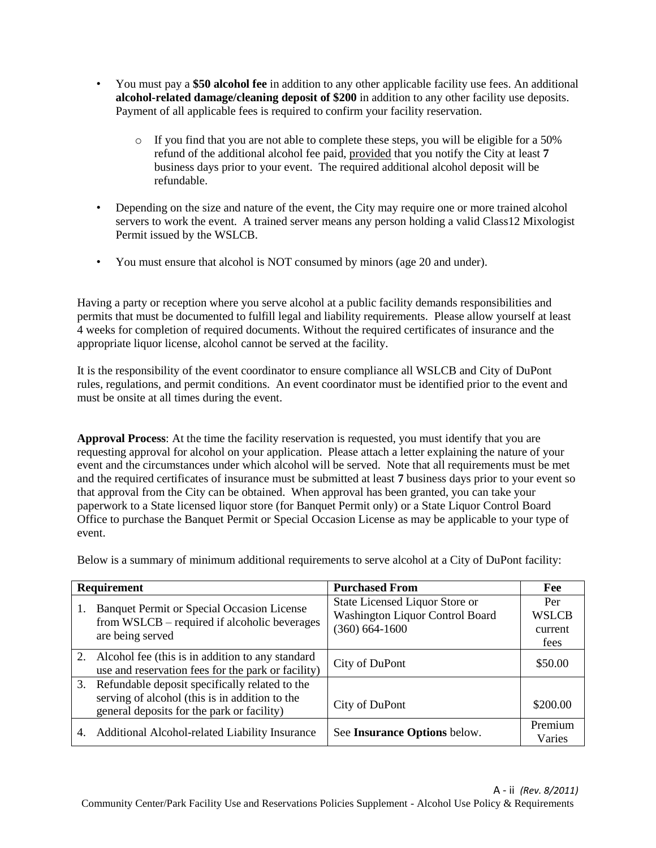- You must pay a **\$50 alcohol fee** in addition to any other applicable facility use fees. An additional **alcohol-related damage/cleaning deposit of \$200** in addition to any other facility use deposits. Payment of all applicable fees is required to confirm your facility reservation.
	- $\circ$  If you find that you are not able to complete these steps, you will be eligible for a 50% refund of the additional alcohol fee paid, provided that you notify the City at least **7** business days prior to your event. The required additional alcohol deposit will be refundable.
- Depending on the size and nature of the event, the City may require one or more trained alcohol servers to work the event. A trained server means any person holding a valid Class12 Mixologist Permit issued by the WSLCB.
- You must ensure that alcohol is NOT consumed by minors (age 20 and under).

Having a party or reception where you serve alcohol at a public facility demands responsibilities and permits that must be documented to fulfill legal and liability requirements. Please allow yourself at least 4 weeks for completion of required documents. Without the required certificates of insurance and the appropriate liquor license, alcohol cannot be served at the facility.

It is the responsibility of the event coordinator to ensure compliance all WSLCB and City of DuPont rules, regulations, and permit conditions. An event coordinator must be identified prior to the event and must be onsite at all times during the event.

**Approval Process**: At the time the facility reservation is requested, you must identify that you are requesting approval for alcohol on your application. Please attach a letter explaining the nature of your event and the circumstances under which alcohol will be served. Note that all requirements must be met and the required certificates of insurance must be submitted at least **7** business days prior to your event so that approval from the City can be obtained. When approval has been granted, you can take your paperwork to a State licensed liquor store (for Banquet Permit only) or a State Liquor Control Board Office to purchase the Banquet Permit or Special Occasion License as may be applicable to your type of event.

Below is a summary of minimum additional requirements to serve alcohol at a City of DuPont facility:

| <b>Requirement</b> |                                                                                                                                                | <b>Purchased From</b>                                                                   | Fee                                    |
|--------------------|------------------------------------------------------------------------------------------------------------------------------------------------|-----------------------------------------------------------------------------------------|----------------------------------------|
| 1.                 | <b>Banquet Permit or Special Occasion License</b><br>from WSLCB – required if alcoholic beverages<br>are being served                          | State Licensed Liquor Store or<br>Washington Liquor Control Board<br>$(360) 664 - 1600$ | Per<br><b>WSLCB</b><br>current<br>fees |
|                    | 2. Alcohol fee (this is in addition to any standard<br>use and reservation fees for the park or facility)                                      | City of DuPont                                                                          | \$50.00                                |
| 3.                 | Refundable deposit specifically related to the<br>serving of alcohol (this is in addition to the<br>general deposits for the park or facility) | City of DuPont                                                                          | \$200.00                               |
| 4.                 | Additional Alcohol-related Liability Insurance                                                                                                 | See Insurance Options below.                                                            | Premium<br>Varies                      |